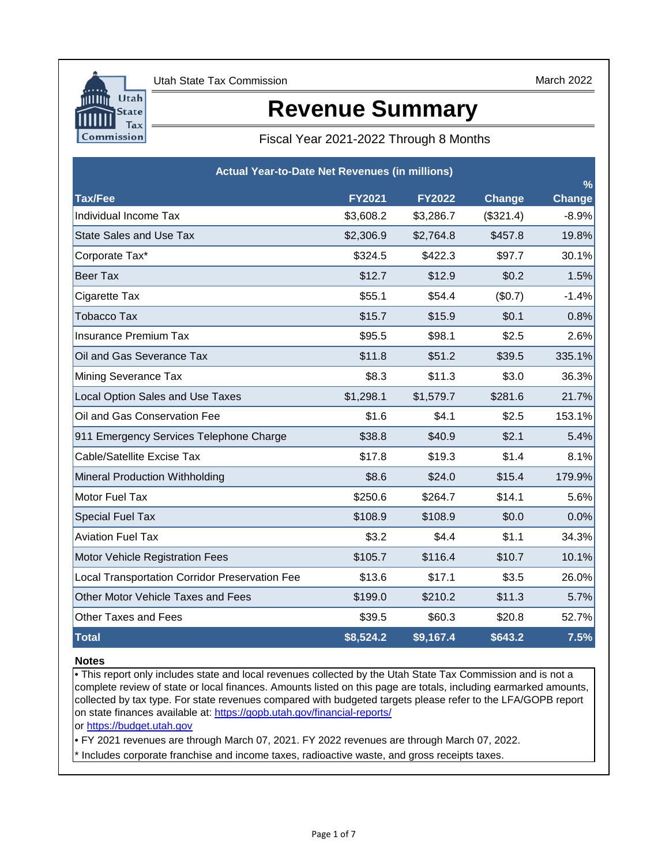

March 2022

# **Revenue Summary**

## Fiscal Year 2021-2022 Through 8 Months

| <b>Actual Year-to-Date Net Revenues (in millions)</b><br>$\frac{9}{6}$ |               |               |           |               |  |  |  |  |  |  |
|------------------------------------------------------------------------|---------------|---------------|-----------|---------------|--|--|--|--|--|--|
| <b>Tax/Fee</b>                                                         | <b>FY2021</b> | <b>FY2022</b> | Change    | <b>Change</b> |  |  |  |  |  |  |
| Individual Income Tax                                                  | \$3,608.2     | \$3,286.7     | (\$321.4) | $-8.9%$       |  |  |  |  |  |  |
| <b>State Sales and Use Tax</b>                                         | \$2,306.9     | \$2,764.8     | \$457.8   | 19.8%         |  |  |  |  |  |  |
| Corporate Tax*                                                         | \$324.5       | \$422.3       | \$97.7    | 30.1%         |  |  |  |  |  |  |
| <b>Beer Tax</b>                                                        | \$12.7        | \$12.9        | \$0.2     | 1.5%          |  |  |  |  |  |  |
| Cigarette Tax                                                          | \$55.1        | \$54.4        | (\$0.7)   | $-1.4%$       |  |  |  |  |  |  |
| <b>Tobacco Tax</b>                                                     | \$15.7        | \$15.9        | \$0.1     | 0.8%          |  |  |  |  |  |  |
| <b>Insurance Premium Tax</b>                                           | \$95.5        | \$98.1        | \$2.5     | 2.6%          |  |  |  |  |  |  |
| Oil and Gas Severance Tax                                              | \$11.8        | \$51.2        | \$39.5    | 335.1%        |  |  |  |  |  |  |
| Mining Severance Tax                                                   | \$8.3         | \$11.3        | \$3.0     | 36.3%         |  |  |  |  |  |  |
| Local Option Sales and Use Taxes                                       | \$1,298.1     | \$1,579.7     | \$281.6   | 21.7%         |  |  |  |  |  |  |
| Oil and Gas Conservation Fee                                           | \$1.6         | \$4.1         | \$2.5     | 153.1%        |  |  |  |  |  |  |
| 911 Emergency Services Telephone Charge                                | \$38.8        | \$40.9        | \$2.1     | 5.4%          |  |  |  |  |  |  |
| Cable/Satellite Excise Tax                                             | \$17.8        | \$19.3        | \$1.4     | 8.1%          |  |  |  |  |  |  |
| Mineral Production Withholding                                         | \$8.6         | \$24.0        | \$15.4    | 179.9%        |  |  |  |  |  |  |
| Motor Fuel Tax                                                         | \$250.6       | \$264.7       | \$14.1    | 5.6%          |  |  |  |  |  |  |
| <b>Special Fuel Tax</b>                                                | \$108.9       | \$108.9       | \$0.0     | 0.0%          |  |  |  |  |  |  |
| <b>Aviation Fuel Tax</b>                                               | \$3.2         | \$4.4         | \$1.1     | 34.3%         |  |  |  |  |  |  |
| Motor Vehicle Registration Fees                                        | \$105.7       | \$116.4       | \$10.7    | 10.1%         |  |  |  |  |  |  |
| <b>Local Transportation Corridor Preservation Fee</b>                  | \$13.6        | \$17.1        | \$3.5     | 26.0%         |  |  |  |  |  |  |
| Other Motor Vehicle Taxes and Fees                                     | \$199.0       | \$210.2       | \$11.3    | 5.7%          |  |  |  |  |  |  |
| <b>Other Taxes and Fees</b>                                            | \$39.5        | \$60.3        | \$20.8    | 52.7%         |  |  |  |  |  |  |
| <b>Total</b>                                                           | \$8,524.2     | \$9,167.4     | \$643.2   | 7.5%          |  |  |  |  |  |  |

### **Notes**

• This report only includes state and local revenues collected by the Utah State Tax Commission and is not a complete review of state or local finances. Amounts listed on this page are totals, including earmarked amounts, collected by tax type. For state revenues compared with budgeted targets please refer to the LFA/GOPB report on state finances available at: https://gopb.utah.gov/financial-reports/

[or https://budget.utah.gov](https://le.utah.gov/asp/lfa/lfareports.asp?src=LFAREV)

• FY 2021 revenues are through March 07, 2021. FY 2022 revenues are through March 07, 2022.

\* Includes corporate franchise and income taxes, radioactive waste, and gross receipts taxes.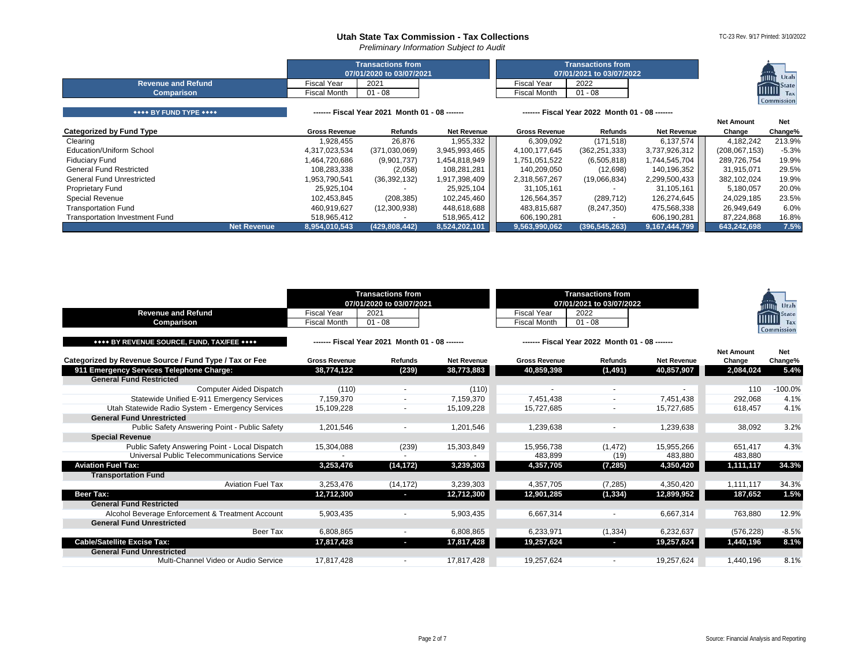*Preliminary Information Subject to Audit*

|  |  | TC-23 Rev. 9/17 Printed: 3/10/2022 |
|--|--|------------------------------------|

|                                                |                                    | <b>Transactions from</b><br>07/01/2020 to 03/07/2021 | <b>Transactions from</b><br>07/01/2021 to 03/07/2022 | <b>Millin</b> Utah                             |  |                      |
|------------------------------------------------|------------------------------------|------------------------------------------------------|------------------------------------------------------|------------------------------------------------|--|----------------------|
| <b>Revenue and Refund</b><br><b>Comparison</b> | <b>Fiscal Year</b><br>Fiscal Month | 2021<br>$01 - 08$                                    | <b>Fiscal Year</b><br><b>Fiscal Month</b>            | 2022<br>$01 - 08$                              |  | <b>IIIIIII</b> State |
|                                                |                                    |                                                      |                                                      |                                                |  | Commission           |
| **** BY FUND TYPE ****                         |                                    | ------- Fiscal Year 2021 Month 01 - 08 -------       |                                                      | ------- Fiscal Year 2022 Month 01 - 08 ------- |  |                      |

|                                       |             |                      |                |                    |                      |                 |                    | <b>Net Amount</b> | <b>Net</b> |
|---------------------------------------|-------------|----------------------|----------------|--------------------|----------------------|-----------------|--------------------|-------------------|------------|
| <b>Categorized by Fund Type</b>       |             | <b>Gross Revenue</b> | Refunds        | <b>Net Revenue</b> | <b>Gross Revenue</b> | Refunds         | <b>Net Revenue</b> | Change            | Change%    |
| Clearing                              |             | 1,928,455            | 26,876         | 1,955,332          | 6,309,092            | (171, 518)      | 6,137,574          | 4,182,242         | 213.9%     |
| Education/Uniform School              |             | 4,317,023,534        | (371,030,069)  | 3,945,993,465      | 4,100,177,645        | (362, 251, 333) | 3,737,926,312      | (208, 067, 153)   | $-5.3%$    |
| <b>Fiduciary Fund</b>                 |             | 1,464,720,686        | (9,901,737)    | 454,818,949,       | 1,751,051,522        | (6,505,818)     | 1,744,545,704      | 289,726,754       | 19.9%      |
| <b>General Fund Restricted</b>        |             | 108,283,338          | (2,058)        | 108,281,281        | 140.209.050          | (12, 698)       | 140,196,352        | 31.915.071        | 29.5%      |
| General Fund Unrestricted             |             | 1,953,790,541        | (36, 392, 132) | 1,917,398,409      | 2,318,567,267        | (19,066,834)    | 2,299,500,433      | 382,102,024       | 19.9%      |
| <b>Proprietary Fund</b>               |             | 25,925,104           |                | 25,925,104         | 31,105,161           |                 | 31,105,161         | 5,180,057         | 20.0%      |
| <b>Special Revenue</b>                |             | 102,453,845          | (208, 385)     | 102,245,460        | 126,564,357          | (289, 712)      | 126,274,645        | 24,029,185        | 23.5%      |
| <b>Transportation Fund</b>            |             | 460,919,627          | (12,300,938)   | 448,618,688        | 483,815,687          | (8,247,350)     | 475,568,338        | 26,949,649        | 6.0%       |
| <b>Transportation Investment Fund</b> |             | 518,965,412          |                | 518,965,412        | 606.190.281          |                 | 606,190,281        | 87,224,868        | 16.8%      |
|                                       | Net Revenue | 8,954,010,543        | (429,808,442)  | 8,524,202,101      | 9,563,990,062        | (396, 545, 263) | 9,167,444,799      | 643,242,698       | 7.5%       |

<span id="page-1-4"></span><span id="page-1-3"></span><span id="page-1-2"></span><span id="page-1-1"></span><span id="page-1-0"></span>

| <b>Revenue and Refund</b><br>Comparison                | <b>Fiscal Year</b><br><b>Fiscal Month</b> | <b>Transactions from</b><br>07/01/2020 to 03/07/2021<br>2021<br>$01 - 08$ |                    | <b>Fiscal Year</b><br><b>Fiscal Month</b> | <b>Transactions from</b><br>07/01/2021 to 03/07/2022<br>2022<br>$01 - 08$ |                    |                             | Utah<br>State<br>,,,,,,<br>Tax<br>Commission |
|--------------------------------------------------------|-------------------------------------------|---------------------------------------------------------------------------|--------------------|-------------------------------------------|---------------------------------------------------------------------------|--------------------|-----------------------------|----------------------------------------------|
| **** BY REVENUE SOURCE. FUND. TAX/FEE ****             |                                           | ------ Fiscal Year 2021 Month 01 - 08 ------                              |                    |                                           | ------- Fiscal Year 2022 Month 01 - 08 ------                             |                    |                             |                                              |
| Categorized by Revenue Source / Fund Type / Tax or Fee | <b>Gross Revenue</b>                      | Refunds                                                                   | <b>Net Revenue</b> | <b>Gross Revenue</b>                      | <b>Refunds</b>                                                            | <b>Net Revenue</b> | <b>Net Amount</b><br>Change | Net<br>Change%                               |
| 911 Emergency Services Telephone Charge:               | 38,774,122                                | (239)                                                                     | 38,773,883         | 40,859,398                                | (1, 491)                                                                  | 40,857,907         | 2,084,024                   | 5.4%                                         |
| <b>General Fund Restricted</b>                         |                                           |                                                                           |                    |                                           |                                                                           |                    |                             |                                              |
| <b>Computer Aided Dispatch</b>                         | (110)                                     |                                                                           | (110)              |                                           | $\overline{\phantom{a}}$                                                  |                    | 110                         | $-100.0%$                                    |
| Statewide Unified E-911 Emergency Services             | 7,159,370                                 |                                                                           | 7,159,370          | 7.451.438                                 |                                                                           | 7.451.438          | 292,068                     | 4.1%                                         |
| Utah Statewide Radio System - Emergency Services       | 15.109.228                                |                                                                           | 15,109,228         | 15.727.685                                | $\overline{\phantom{a}}$                                                  | 15.727.685         | 618.457                     | 4.1%                                         |
| <b>General Fund Unrestricted</b>                       |                                           |                                                                           |                    |                                           |                                                                           |                    |                             |                                              |
| Public Safety Answering Point - Public Safety          | 1,201,546                                 |                                                                           | 1,201,546          | 1,239,638                                 |                                                                           | 1,239,638          | 38,092                      | 3.2%                                         |
| <b>Special Revenue</b>                                 |                                           |                                                                           |                    |                                           |                                                                           |                    |                             |                                              |
| Public Safety Answering Point - Local Dispatch         | 15,304,088                                | (239)                                                                     | 15,303,849         | 15.956.738                                | (1.472)                                                                   | 15.955.266         | 651.417                     | 4.3%                                         |
| Universal Public Telecommunications Service            |                                           |                                                                           |                    | 483,899                                   | (19)                                                                      | 483,880            | 483,880                     |                                              |
| <b>Aviation Fuel Tax:</b>                              | 3,253,476                                 | (14, 172)                                                                 | 3,239,303          | 4,357,705                                 | (7, 285)                                                                  | 4,350,420          | 1,111,117                   | 34.3%                                        |
| <b>Transportation Fund</b>                             |                                           |                                                                           |                    |                                           |                                                                           |                    |                             |                                              |
| <b>Aviation Fuel Tax</b>                               | 3,253,476                                 | (14, 172)                                                                 | 3,239,303          | 4,357,705                                 | (7, 285)                                                                  | 4,350,420          | 1,111,117                   | 34.3%                                        |
| Beer Tax:                                              | 12,712,300                                | o.                                                                        | 12,712,300         | 12,901,285                                | (1, 334)                                                                  | 12,899,952         | 187,652                     | 1.5%                                         |
| <b>General Fund Restricted</b>                         |                                           |                                                                           |                    |                                           |                                                                           |                    |                             |                                              |
| Alcohol Beverage Enforcement & Treatment Account       | 5,903,435                                 |                                                                           | 5,903,435          | 6,667,314                                 | $\overline{\phantom{a}}$                                                  | 6,667,314          | 763,880                     | 12.9%                                        |
| <b>General Fund Unrestricted</b>                       |                                           |                                                                           |                    |                                           |                                                                           |                    |                             |                                              |
| Beer Tax                                               | 6.808.865                                 | $\overline{\phantom{a}}$                                                  | 6,808,865          | 6,233,971                                 | (1, 334)                                                                  | 6,232,637          | (576, 228)                  | $-8.5%$                                      |
| <b>Cable/Satellite Excise Tax:</b>                     | 17,817,428                                | ı                                                                         | 17,817,428         | 19,257,624                                | l,                                                                        | 19,257,624         | 1,440,196                   | 8.1%                                         |
| <b>General Fund Unrestricted</b>                       |                                           |                                                                           |                    |                                           |                                                                           |                    |                             |                                              |
| Multi-Channel Video or Audio Service                   | 17.817.428                                |                                                                           | 17,817,428         | 19,257,624                                |                                                                           | 19.257.624         | 1.440.196                   | 8.1%                                         |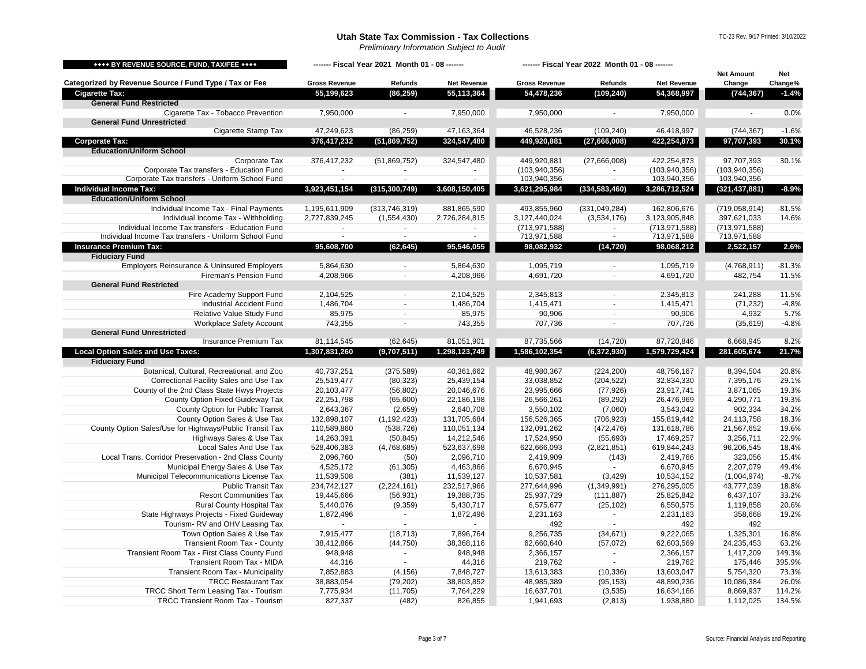*Preliminary Information Subject to Audit*

TC-23 Rev. 9/17 Printed: 3/10/2022

<span id="page-2-4"></span><span id="page-2-3"></span><span id="page-2-2"></span><span id="page-2-1"></span><span id="page-2-0"></span>

| <b>**** BY REVENUE SOURCE, FUND, TAX/FEE ****</b>                                     | ------- Fiscal Year 2021 Month 01 - 08 ------- |                          |                          | ------- Fiscal Year 2022 Month 01 - 08 ------- |                             |                          |                             |                       |
|---------------------------------------------------------------------------------------|------------------------------------------------|--------------------------|--------------------------|------------------------------------------------|-----------------------------|--------------------------|-----------------------------|-----------------------|
| Categorized by Revenue Source / Fund Type / Tax or Fee                                | <b>Gross Revenue</b>                           | Refunds                  | <b>Net Revenue</b>       | <b>Gross Revenue</b>                           | Refunds                     | Net Revenue              | <b>Net Amount</b><br>Change | <b>Net</b><br>Change% |
| <b>Cigarette Tax:</b>                                                                 | 55,199,623                                     | (86, 259)                | 55,113,364               | 54,478,236                                     | (109, 240)                  | 54,368,997               | (744, 367)                  | $-1.4%$               |
| <b>General Fund Restricted</b>                                                        |                                                |                          |                          |                                                |                             |                          |                             |                       |
| Cigarette Tax - Tobacco Prevention                                                    | 7,950,000                                      |                          | 7,950,000                | 7,950,000                                      |                             | 7,950,000                |                             | 0.0%                  |
| <b>General Fund Unrestricted</b>                                                      |                                                |                          |                          |                                                |                             |                          |                             |                       |
| Cigarette Stamp Tax                                                                   | 47,249,623                                     | (86, 259)                | 47,163,364               | 46,528,236                                     | (109, 240)                  | 46,418,997               | (744, 367)                  | $-1.6%$               |
| <b>Corporate Tax:</b>                                                                 | 376,417,232                                    | (51, 869, 752)           | 324,547,480              | 449,920,881                                    | (27,666,008)                | 422,254,873              | 97,707,393                  | 30.1%                 |
| <b>Education/Uniform School</b>                                                       |                                                |                          |                          |                                                |                             |                          |                             |                       |
| Corporate Tax                                                                         | 376,417,232                                    | (51,869,752)             | 324,547,480              | 449,920,881                                    | (27,666,008)                | 422,254,873              | 97,707,393                  | 30.1%                 |
| Corporate Tax transfers - Education Fund                                              |                                                |                          |                          | (103, 940, 356)                                |                             | (103, 940, 356)          | (103, 940, 356)             |                       |
| Corporate Tax transfers - Uniform School Fund                                         | $\blacksquare$                                 | $\overline{\phantom{a}}$ |                          | 103,940,356                                    | $\overline{\phantom{a}}$    | 103,940,356              | 103,940,356                 |                       |
| <b>Individual Income Tax:</b>                                                         | 3,923,451,154                                  | (315, 300, 749)          | 3,608,150,405            | 3,621,295,984                                  | (334, 583, 460)             | 3,286,712,524            | (321, 437, 881)             | $-8.9%$               |
| <b>Education/Uniform School</b>                                                       |                                                |                          |                          |                                                |                             |                          |                             |                       |
| Individual Income Tax - Final Payments                                                | 1,195,611,909                                  | (313, 746, 319)          | 881,865,590              | 493,855,960                                    | (331, 049, 284)             | 162,806,676              | (719,058,914)               | $-81.5%$              |
| Individual Income Tax - Withholding                                                   | 2,727,839,245                                  | (1,554,430)              | 2,726,284,815            | 3,127,440,024                                  | (3,534,176)                 | 3,123,905,848            | 397,621,033                 | 14.6%                 |
| Individual Income Tax transfers - Education Fund                                      | ÷.                                             | $\mathbf{r}$             |                          | (713, 971, 588)                                | $\blacksquare$              | (713, 971, 588)          | (713, 971, 588)             |                       |
| Individual Income Tax transfers - Uniform School Fund                                 |                                                |                          |                          | 713,971,588                                    |                             | 713,971,588              | 713,971,588                 |                       |
| <b>Insurance Premium Tax:</b>                                                         | 95,608,700                                     | (62, 645)                | 95,546,055               | 98,082,932                                     | (14, 720)                   | 98,068,212               | 2,522,157                   | 2.6%                  |
| <b>Fiduciary Fund</b>                                                                 |                                                |                          |                          |                                                |                             |                          |                             |                       |
| Employers Reinsurance & Uninsured Employers                                           | 5,864,630                                      |                          | 5,864,630                | 1,095,719                                      |                             | 1,095,719                | (4,768,911)                 | $-81.3%$              |
| Fireman's Pension Fund                                                                | 4,208,966                                      | $\sim$                   | 4,208,966                | 4,691,720                                      | $\sim$                      | 4,691,720                | 482,754                     | 11.5%                 |
| <b>General Fund Restricted</b>                                                        |                                                |                          |                          |                                                |                             |                          |                             |                       |
| Fire Academy Support Fund                                                             | 2,104,525                                      | $\sim$                   | 2,104,525                | 2,345,813                                      | $\blacksquare$              | 2,345,813                | 241,288                     | 11.5%                 |
| <b>Industrial Accident Fund</b>                                                       | 1,486,704                                      | $\blacksquare$           | 1,486,704                | 1,415,471                                      | $\blacksquare$              | 1,415,471                | (71, 232)                   | $-4.8%$               |
| Relative Value Study Fund                                                             | 85,975                                         | $\sim$                   | 85,975                   | 90,906                                         | $\blacksquare$              | 90,906                   | 4,932                       | 5.7%                  |
| <b>Workplace Safety Account</b>                                                       | 743,355                                        | $\sim$                   | 743,355                  | 707,736                                        | $\omega$                    | 707,736                  | (35, 619)                   | $-4.8%$               |
| <b>General Fund Unrestricted</b>                                                      |                                                |                          |                          |                                                |                             |                          |                             |                       |
| <b>Insurance Premium Tax</b>                                                          | 81,114,545                                     | (62, 645)                | 81,051,901               | 87,735,566                                     | (14, 720)                   | 87,720,846               | 6,668,945                   | 8.2%                  |
| <b>Local Option Sales and Use Taxes:</b>                                              | 1,307,831,260                                  | (9,707,511)              | 1,298,123,749            | 1,586,102,354                                  | (6,372,930)                 | 1,579,729,424            | 281,605,674                 | 21.7%                 |
| <b>Fiduciary Fund</b>                                                                 |                                                |                          |                          |                                                |                             |                          |                             |                       |
| Botanical, Cultural, Recreational, and Zoo<br>Correctional Facility Sales and Use Tax | 40,737,251                                     | (375, 589)<br>(80, 323)  | 40,361,662<br>25,439,154 | 48,980,367<br>33,038,852                       | (224, 200)                  | 48,756,167<br>32,834,330 | 8,394,504<br>7,395,176      | 20.8%<br>29.1%        |
| County of the 2nd Class State Hwys Projects                                           | 25,519,477<br>20,103,477                       | (56, 802)                | 20,046,676               | 23,995,666                                     | (204, 522)<br>(77, 926)     | 23,917,741               | 3,871,065                   | 19.3%                 |
| County Option Fixed Guideway Tax                                                      | 22,251,798                                     | (65,600)                 | 22,186,198               | 26,566,261                                     | (89, 292)                   | 26,476,969               | 4,290,771                   | 19.3%                 |
| County Option for Public Transit                                                      | 2,643,367                                      | (2,659)                  | 2,640,708                | 3,550,102                                      | (7,060)                     | 3,543,042                | 902,334                     | 34.2%                 |
| County Option Sales & Use Tax                                                         | 132,898,107                                    | (1, 192, 423)            | 131,705,684              | 156,526,365                                    | (706, 923)                  | 155,819,442              | 24,113,758                  | 18.3%                 |
| County Option Sales/Use for Highways/Public Transit Tax                               | 110,589,860                                    | (538, 726)               | 110,051,134              | 132,091,262                                    | (472, 476)                  | 131,618,786              | 21,567,652                  | 19.6%                 |
| Highways Sales & Use Tax                                                              | 14,263,391                                     | (50, 845)                | 14,212,546               | 17,524,950                                     | (55, 693)                   | 17,469,257               | 3,256,711                   | 22.9%                 |
| Local Sales And Use Tax                                                               | 528,406,383                                    | (4,768,685)              | 523,637,698              | 622,666,093                                    | (2,821,851)                 | 619,844,243              | 96,206,545                  | 18.4%                 |
| Local Trans. Corridor Preservation - 2nd Class County                                 | 2,096,760                                      | (50)                     | 2,096,710                | 2,419,909                                      | (143)                       | 2,419,766                | 323,056                     | 15.4%                 |
| Municipal Energy Sales & Use Tax                                                      | 4,525,172                                      | (61, 305)                | 4,463,866                | 6,670,945                                      | $\blacksquare$              | 6,670,945                | 2,207,079                   | 49.4%                 |
| Municipal Telecommunications License Tax                                              | 11,539,508                                     | (381)                    | 11,539,127               | 10,537,581                                     | (3, 429)                    | 10,534,152               | (1,004,974)                 | $-8.7%$               |
| <b>Public Transit Tax</b>                                                             | 234,742,127                                    | (2, 224, 161)            | 232,517,966              | 277,644,996                                    | (1,349,991)                 | 276,295,005              | 43,777,039                  | 18.8%                 |
| <b>Resort Communities Tax</b>                                                         | 19,445,666                                     | (56, 931)                | 19,388,735               | 25,937,729                                     | (111, 887)                  | 25,825,842               | 6,437,107                   | 33.2%                 |
| <b>Rural County Hospital Tax</b>                                                      | 5,440,076                                      | (9,359)                  | 5,430,717                | 6,575,677                                      | (25, 102)                   | 6,550,575                | 1,119,858                   | 20.6%                 |
| State Highways Projects - Fixed Guideway                                              | 1,872,496                                      | $\blacksquare$           | 1,872,496                | 2,231,163                                      | $\blacksquare$              | 2,231,163                | 358,668                     | 19.2%                 |
| Tourism-RV and OHV Leasing Tax                                                        |                                                | $\sim$                   |                          | 492                                            | $\sim$                      | 492                      | 492                         |                       |
| Town Option Sales & Use Tax                                                           | 7,915,477                                      | (18, 713)                | 7,896,764                | 9,256,735                                      | (34, 671)                   | 9,222,065                | 1,325,301                   | 16.8%                 |
| <b>Transient Room Tax - County</b>                                                    | 38,412,866                                     | (44, 750)                | 38,368,116               | 62,660,640                                     | (57,072)                    | 62,603,569               | 24,235,453                  | 63.2%                 |
| Transient Room Tax - First Class County Fund                                          | 948,948                                        | $\sim$                   | 948,948                  | 2,366,157                                      | $\sim$                      | 2,366,157                | 1,417,209                   | 149.3%                |
| Transient Room Tax - MIDA                                                             | 44,316                                         | $\sim$                   | 44,316                   | 219,762                                        | $\mathcal{L}_{\mathcal{A}}$ | 219,762                  | 175,446                     | 395.9%                |
| Transient Room Tax - Municipality                                                     | 7,852,883                                      | (4, 156)                 | 7,848,727                | 13,613,383                                     | (10, 336)                   | 13,603,047               | 5,754,320                   | 73.3%                 |
| <b>TRCC Restaurant Tax</b>                                                            | 38,883,054                                     | (79, 202)                | 38,803,852               | 48,985,389                                     | (95, 153)                   | 48,890,236               | 10,086,384                  | 26.0%                 |
| TRCC Short Term Leasing Tax - Tourism                                                 | 7,775,934                                      | (11, 705)                | 7,764,229                | 16,637,701                                     | (3,535)                     | 16,634,166               | 8,869,937                   | 114.2%                |
| <b>TRCC Transient Room Tax - Tourism</b>                                              | 827,337                                        | (482)                    | 826,855                  | 1,941,693                                      | (2,813)                     | 1,938,880                | 1,112,025                   | 134.5%                |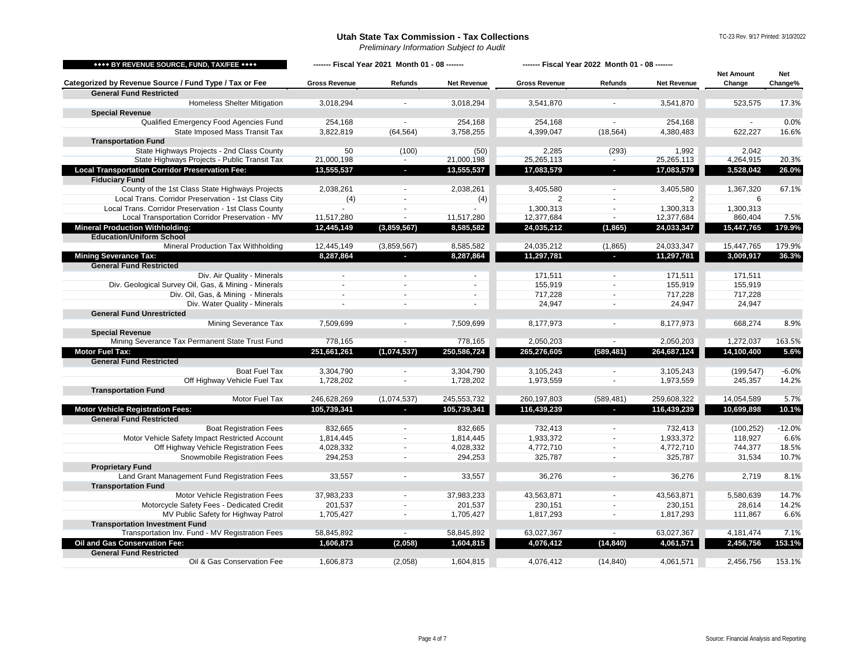<span id="page-3-5"></span><span id="page-3-4"></span><span id="page-3-3"></span><span id="page-3-2"></span><span id="page-3-1"></span><span id="page-3-0"></span>

| **** BY REVENUE SOURCE, FUND, TAX/FEE ****                      | ------- Fiscal Year 2021 Month 01 - 08 ------- |                          |                    | ------- Fiscal Year 2022 Month 01 - 08 ------- |                          |                    |                             |                       |
|-----------------------------------------------------------------|------------------------------------------------|--------------------------|--------------------|------------------------------------------------|--------------------------|--------------------|-----------------------------|-----------------------|
| Categorized by Revenue Source / Fund Type / Tax or Fee          | <b>Gross Revenue</b>                           | Refunds                  | <b>Net Revenue</b> | <b>Gross Revenue</b>                           | Refunds                  | <b>Net Revenue</b> | <b>Net Amount</b><br>Change | <b>Net</b><br>Change% |
| <b>General Fund Restricted</b>                                  |                                                |                          |                    |                                                |                          |                    |                             |                       |
| <b>Homeless Shelter Mitigation</b>                              | 3,018,294                                      |                          | 3,018,294          | 3,541,870                                      |                          | 3,541,870          | 523,575                     | 17.3%                 |
| <b>Special Revenue</b>                                          |                                                |                          |                    |                                                |                          |                    |                             |                       |
| Qualified Emergency Food Agencies Fund                          | 254,168                                        |                          | 254,168            | 254.168                                        |                          | 254,168            |                             | 0.0%                  |
| State Imposed Mass Transit Tax                                  | 3,822,819                                      | (64, 564)                | 3,758,255          | 4,399,047                                      | (18, 564)                | 4,380,483          | 622,227                     | 16.6%                 |
| <b>Transportation Fund</b>                                      |                                                |                          |                    |                                                |                          |                    |                             |                       |
| State Highways Projects - 2nd Class County                      | 50                                             | (100)                    | (50)               | 2,285                                          | (293)                    | 1,992              | 2,042                       |                       |
| State Highways Projects - Public Transit Tax                    | 21,000,198                                     |                          | 21,000,198         | 25,265,113                                     |                          | 25,265,113         | 4,264,915                   | 20.3%                 |
| <b>Local Transportation Corridor Preservation Fee:</b>          | 13,555,537                                     | $\sim$                   | 13,555,537         | 17,083,579                                     | $\overline{\phantom{a}}$ | 17,083,579         | 3,528,042                   | 26.0%                 |
| <b>Fiduciary Fund</b>                                           |                                                |                          |                    |                                                |                          |                    |                             |                       |
| County of the 1st Class State Highways Projects                 | 2,038,261                                      | $\sim$                   | 2,038,261          | 3,405,580                                      | $\sim$                   | 3,405,580          | 1,367,320                   | 67.1%                 |
| Local Trans. Corridor Preservation - 1st Class City             | (4)                                            | $\sim$                   | (4)                | 2                                              | $\blacksquare$           | 2                  | 6                           |                       |
| Local Trans. Corridor Preservation - 1st Class County           |                                                | $\overline{\phantom{a}}$ |                    | 1,300,313                                      | $\blacksquare$           | 1,300,313          | 1,300,313                   |                       |
| Local Transportation Corridor Preservation - MV                 | 11,517,280                                     | $\blacksquare$           | 11,517,280         | 12,377,684                                     | $\blacksquare$           | 12,377,684         | 860,404                     | 7.5%                  |
| <b>Mineral Production Withholding:</b>                          | 12,445,149                                     | (3,859,567)              | 8,585,582          | 24,035,212                                     | (1, 865)                 | 24,033,347         | 15,447,765                  | 179.9%                |
| <b>Education/Uniform School</b>                                 |                                                |                          |                    |                                                |                          |                    |                             |                       |
| Mineral Production Tax Withholding                              | 12,445,149                                     | (3,859,567)              | 8,585,582          | 24,035,212                                     | (1,865)                  | 24,033,347         | 15,447,765                  | 179.9%                |
| <b>Mining Severance Tax:</b>                                    | 8,287,864                                      | b.                       | 8,287,864          | 11,297,781                                     | н                        | 11,297,781         | 3,009,917                   | 36.3%                 |
| <b>General Fund Restricted</b>                                  |                                                |                          |                    |                                                |                          |                    |                             |                       |
| Div. Air Quality - Minerals                                     | $\sim$                                         | $\sim$                   | $\sim$             | 171,511                                        | $\blacksquare$           | 171,511            | 171,511                     |                       |
| Div. Geological Survey Oil, Gas, & Mining - Minerals            |                                                | $\sim$                   |                    | 155,919                                        | $\sim$                   | 155,919            | 155,919                     |                       |
| Div. Oil, Gas, & Mining - Minerals                              |                                                |                          | $\sim$             | 717,228                                        | $\blacksquare$           | 717,228            | 717,228                     |                       |
| Div. Water Quality - Minerals                                   | $\sim$                                         | $\sim$                   | $\overline{a}$     | 24,947                                         | $\sim$                   | 24,947             | 24,947                      |                       |
| <b>General Fund Unrestricted</b>                                |                                                |                          |                    |                                                |                          |                    |                             |                       |
| Mining Severance Tax                                            | 7,509,699                                      |                          | 7,509,699          | 8,177,973                                      |                          | 8,177,973          | 668,274                     | 8.9%                  |
| <b>Special Revenue</b>                                          |                                                |                          |                    |                                                |                          |                    |                             |                       |
| Mining Severance Tax Permanent State Trust Fund                 | 778,165                                        |                          | 778,165            | 2,050,203                                      | $\sim$                   | 2,050,203          | 1,272,037                   | 163.5%                |
| <b>Motor Fuel Tax:</b>                                          | 251,661,261                                    | (1,074,537)              | 250,586,724        | 265,276,605                                    | (589, 481)               | 264,687,124        | 14,100,400                  | 5.6%                  |
| <b>General Fund Restricted</b>                                  |                                                |                          |                    |                                                |                          |                    |                             |                       |
| Boat Fuel Tax                                                   | 3,304,790                                      |                          | 3,304,790          | 3,105,243                                      |                          | 3,105,243          | (199, 547)                  | $-6.0%$               |
| Off Highway Vehicle Fuel Tax                                    | 1,728,202                                      |                          | 1,728,202          | 1,973,559                                      | $\tilde{\phantom{a}}$    | 1,973,559          | 245,357                     | 14.2%                 |
| <b>Transportation Fund</b>                                      |                                                |                          |                    |                                                |                          |                    |                             |                       |
| Motor Fuel Tax                                                  | 246,628,269                                    | (1,074,537)              | 245,553,732        | 260,197,803                                    | (589, 481)               | 259,608,322        | 14,054,589                  | 5.7%                  |
| <b>Motor Vehicle Registration Fees:</b>                         | 105,739,341                                    | P.                       | 105,739,341        | 116,439,239                                    | н                        | 116,439,239        | 10,699,898                  | 10.1%                 |
| <b>General Fund Restricted</b>                                  |                                                |                          |                    |                                                |                          |                    |                             |                       |
| <b>Boat Registration Fees</b>                                   | 832,665                                        |                          | 832,665            | 732,413                                        |                          | 732,413            | (100, 252)                  | $-12.0%$              |
| Motor Vehicle Safety Impact Restricted Account                  | 1,814,445                                      | $\sim$                   | 1,814,445          | 1,933,372                                      | $\sim$                   | 1,933,372          | 118,927                     | 6.6%                  |
| Off Highway Vehicle Registration Fees                           | 4,028,332                                      | $\overline{\phantom{a}}$ | 4,028,332          | 4,772,710                                      | $\sim$                   | 4,772,710          | 744,377                     | 18.5%                 |
| Snowmobile Registration Fees                                    | 294,253                                        | $\sim$                   | 294,253            | 325,787                                        | $\sim$                   | 325,787            | 31,534                      | 10.7%                 |
| <b>Proprietary Fund</b>                                         |                                                |                          |                    |                                                |                          |                    |                             |                       |
| Land Grant Management Fund Registration Fees                    | 33,557                                         | $\overline{\phantom{a}}$ | 33,557             | 36,276                                         | $\sim$                   | 36,276             | 2,719                       | 8.1%                  |
| <b>Transportation Fund</b>                                      |                                                |                          |                    |                                                |                          |                    |                             |                       |
| Motor Vehicle Registration Fees                                 | 37,983,233                                     |                          | 37,983,233         | 43,563,871                                     | $\sim$                   | 43,563,871         | 5,580,639                   | 14.7%                 |
| Motorcycle Safety Fees - Dedicated Credit                       | 201,537                                        |                          | 201,537            | 230,151                                        |                          | 230,151            | 28,614                      | 14.2%                 |
| MV Public Safety for Highway Patrol                             | 1,705,427                                      |                          | 1,705,427          | 1,817,293                                      | $\blacksquare$           | 1,817,293          | 111,867                     | 6.6%                  |
| <b>Transportation Investment Fund</b>                           |                                                |                          |                    |                                                |                          |                    |                             |                       |
| Transportation Inv. Fund - MV Registration Fees                 | 58,845,892                                     |                          | 58,845,892         | 63,027,367                                     |                          | 63,027,367         | 4,181,474                   | 7.1%                  |
| Oil and Gas Conservation Fee:<br><b>General Fund Restricted</b> | 1,606,873                                      | (2,058)                  | 1,604,815          | 4,076,412                                      | (14, 840)                | 4,061,571          | 2,456,756                   | 153.1%                |
| Oil & Gas Conservation Fee                                      | 1,606,873                                      | (2,058)                  | 1,604,815          | 4,076,412                                      | (14, 840)                | 4,061,571          | 2,456,756                   | 153.1%                |
|                                                                 |                                                |                          |                    |                                                |                          |                    |                             |                       |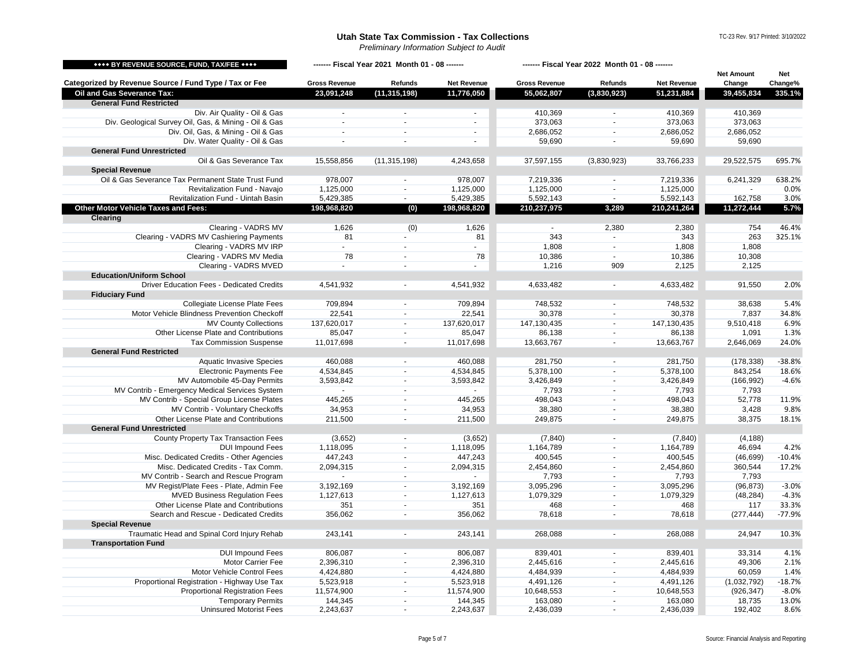<span id="page-4-1"></span><span id="page-4-0"></span>

| **** BY REVENUE SOURCE, FUND, TAX/FEE ****             | ------- Fiscal Year 2021 Month 01 - 08 ------- |                          |                       | ------- Fiscal Year 2022 Month 01 - 08 ------- |                             |                    |                             |                |
|--------------------------------------------------------|------------------------------------------------|--------------------------|-----------------------|------------------------------------------------|-----------------------------|--------------------|-----------------------------|----------------|
| Categorized by Revenue Source / Fund Type / Tax or Fee | <b>Gross Revenue</b>                           | Refunds                  | <b>Net Revenue</b>    | <b>Gross Revenue</b>                           | Refunds                     | <b>Net Revenue</b> | <b>Net Amount</b><br>Change | Net<br>Change% |
| Oil and Gas Severance Tax:                             | 23,091,248                                     | (11, 315, 198)           | 11,776,050            | 55,062,807                                     | (3,830,923)                 | 51,231,884         | 39,455,834                  | 335.1%         |
| <b>General Fund Restricted</b>                         |                                                |                          |                       |                                                |                             |                    |                             |                |
| Div. Air Quality - Oil & Gas                           | $\sim$                                         |                          | $\blacksquare$        | 410,369                                        |                             | 410,369            | 410,369                     |                |
| Div. Geological Survey Oil, Gas, & Mining - Oil & Gas  | $\sim$                                         | $\sim$                   | $\sim$                | 373,063                                        | $\sim$                      | 373,063            | 373,063                     |                |
| Div. Oil, Gas, & Mining - Oil & Gas                    | $\sim$                                         | ä,                       | $\tilde{\phantom{a}}$ | 2,686,052                                      | $\overline{\phantom{a}}$    | 2,686,052          | 2,686,052                   |                |
| Div. Water Quality - Oil & Gas                         | $\blacksquare$                                 | ÷,                       | $\blacksquare$        | 59,690                                         | ÷,                          | 59,690             | 59,690                      |                |
| <b>General Fund Unrestricted</b>                       |                                                |                          |                       |                                                |                             |                    |                             |                |
| Oil & Gas Severance Tax                                | 15,558,856                                     | (11, 315, 198)           | 4,243,658             | 37,597,155                                     | (3,830,923)                 | 33,766,233         | 29,522,575                  | 695.7%         |
| <b>Special Revenue</b>                                 |                                                |                          |                       |                                                |                             |                    |                             |                |
| Oil & Gas Severance Tax Permanent State Trust Fund     | 978,007                                        | $\blacksquare$           | 978,007               | 7,219,336                                      | $\sim$                      | 7,219,336          | 6,241,329                   | 638.2%         |
| Revitalization Fund - Navajo                           | 1,125,000                                      | $\blacksquare$           | 1,125,000             | 1,125,000                                      | $\sim$                      | 1,125,000          |                             | 0.0%           |
| Revitalization Fund - Uintah Basin                     | 5,429,385                                      | $\blacksquare$           | 5,429,385             | 5,592,143                                      | $\sim$                      | 5,592,143          | 162,758                     | 3.0%           |
| Other Motor Vehicle Taxes and Fees:                    | 198,968,820                                    | (0)                      | 198,968,820           | 210,237,975                                    | 3,289                       | 210,241,264        | 11,272,444                  | 5.7%           |
| <b>Clearing</b>                                        |                                                |                          |                       |                                                |                             |                    |                             |                |
| Clearing - VADRS MV                                    | 1,626                                          | (0)                      | 1,626                 | $\sim$                                         | 2,380                       | 2,380              | 754                         | 46.4%          |
| Clearing - VADRS MV Cashiering Payments                | 81                                             |                          | 81                    | 343                                            | $\sim$                      | 343                | 263                         | 325.1%         |
| Clearing - VADRS MV IRP                                | ÷.                                             | ÷                        | $\omega$              | 1,808                                          | $\sim$                      | 1,808              | 1,808                       |                |
| Clearing - VADRS MV Media                              | 78                                             | $\sim$                   | 78                    | 10,386                                         | $\sim$                      | 10,386             | 10,308                      |                |
| Clearing - VADRS MVED                                  | ÷.                                             | ä,                       |                       | 1,216                                          | 909                         | 2,125              | 2,125                       |                |
| <b>Education/Uniform School</b>                        |                                                |                          |                       |                                                |                             |                    |                             |                |
| Driver Education Fees - Dedicated Credits              | 4,541,932                                      |                          | 4,541,932             | 4,633,482                                      |                             | 4,633,482          | 91,550                      | 2.0%           |
| <b>Fiduciary Fund</b>                                  |                                                |                          |                       |                                                |                             |                    |                             |                |
| Collegiate License Plate Fees                          | 709,894                                        | $\sim$                   | 709,894               | 748,532                                        | $\sim$                      | 748,532            | 38,638                      | 5.4%           |
| Motor Vehicle Blindness Prevention Checkoff            | 22,541                                         | $\blacksquare$           | 22,541                | 30,378                                         | $\mathcal{L}_{\mathcal{A}}$ | 30,378             | 7,837                       | 34.8%          |
| <b>MV County Collections</b>                           | 137,620,017                                    | $\blacksquare$           | 137,620,017           | 147,130,435                                    | $\sim$                      | 147,130,435        | 9,510,418                   | 6.9%           |
| Other License Plate and Contributions                  | 85,047                                         | $\sim$                   | 85,047                | 86,138                                         | $\sim$                      | 86,138             | 1,091                       | 1.3%           |
| <b>Tax Commission Suspense</b>                         | 11,017,698                                     | $\sim$                   | 11,017,698            | 13,663,767                                     | $\sim$                      | 13,663,767         | 2,646,069                   | 24.0%          |
| <b>General Fund Restricted</b>                         |                                                |                          |                       |                                                |                             |                    |                             |                |
| <b>Aquatic Invasive Species</b>                        | 460,088                                        | $\sim$                   | 460,088               | 281,750                                        | $\sim$                      | 281,750            | (178, 338)                  | $-38.8%$       |
| <b>Electronic Payments Fee</b>                         | 4,534,845                                      | $\mathbf{r}$             | 4,534,845             | 5,378,100                                      | $\sim$                      | 5,378,100          | 843,254                     | 18.6%          |
| MV Automobile 45-Day Permits                           | 3,593,842                                      | $\blacksquare$           | 3,593,842             | 3,426,849                                      | $\overline{\phantom{a}}$    | 3,426,849          | (166, 992)                  | $-4.6%$        |
| MV Contrib - Emergency Medical Services System         | $\sim$                                         | $\sim$                   |                       | 7,793                                          | $\blacksquare$              | 7,793              | 7,793                       |                |
| MV Contrib - Special Group License Plates              | 445,265                                        | $\omega$                 | 445,265               | 498,043                                        | ä,                          | 498,043            | 52,778                      | 11.9%          |
| MV Contrib - Voluntary Checkoffs                       |                                                | $\mathbf{r}$             | 34,953                | 38,380                                         | ÷.                          | 38,380             | 3,428                       | 9.8%           |
|                                                        | 34,953                                         |                          |                       |                                                |                             |                    |                             |                |
| Other License Plate and Contributions                  | 211,500                                        | $\overline{\phantom{a}}$ | 211,500               | 249,875                                        | $\overline{a}$              | 249,875            | 38,375                      | 18.1%          |
| <b>General Fund Unrestricted</b>                       |                                                |                          |                       |                                                |                             |                    |                             |                |
| County Property Tax Transaction Fees                   | (3,652)                                        | $\blacksquare$           | (3,652)               | (7, 840)                                       | $\blacksquare$              | (7, 840)           | (4, 188)                    |                |
| <b>DUI Impound Fees</b>                                | 1,118,095                                      |                          | 1,118,095             | 1,164,789                                      | ÷,                          | 1,164,789          | 46,694                      | 4.2%           |
| Misc. Dedicated Credits - Other Agencies               | 447,243                                        | $\sim$                   | 447,243               | 400,545                                        | $\sim$                      | 400,545            | (46, 699)                   | $-10.4%$       |
| Misc. Dedicated Credits - Tax Comm.                    | 2,094,315                                      | $\sim$                   | 2,094,315             | 2,454,860                                      | $\blacksquare$              | 2,454,860          | 360,544                     | 17.2%          |
| MV Contrib - Search and Rescue Program                 | $\omega$                                       | $\sim$                   | $\sim$                | 7,793                                          | ÷.                          | 7,793              | 7,793                       |                |
| MV Regist/Plate Fees - Plate, Admin Fee                | 3,192,169                                      | $\sim$                   | 3,192,169             | 3,095,296                                      | $\sim$                      | 3,095,296          | (96, 873)                   | $-3.0%$        |
| <b>MVED Business Regulation Fees</b>                   | 1,127,613                                      | $\blacksquare$           | 1,127,613             | 1,079,329                                      | $\mathcal{L}_{\mathcal{A}}$ | 1,079,329          | (48, 284)                   | $-4.3%$        |
| Other License Plate and Contributions                  | 351                                            |                          | 351                   | 468                                            | ÷,                          | 468                | 117                         | 33.3%          |
| Search and Rescue - Dedicated Credits                  | 356,062                                        | $\sim$                   | 356,062               | 78,618                                         | $\overline{\phantom{a}}$    | 78,618             | (277, 444)                  | $-77.9%$       |
| <b>Special Revenue</b>                                 |                                                |                          |                       |                                                |                             |                    |                             |                |
| Traumatic Head and Spinal Cord Injury Rehab            | 243,141                                        | $\overline{\phantom{a}}$ | 243,141               | 268,088                                        | $\sim$                      | 268,088            | 24,947                      | 10.3%          |
| <b>Transportation Fund</b>                             |                                                |                          |                       |                                                |                             |                    |                             |                |
| <b>DUI Impound Fees</b>                                | 806,087                                        | $\overline{\phantom{a}}$ | 806,087               | 839,401                                        | $\sim$                      | 839,401            | 33,314                      | 4.1%           |
| <b>Motor Carrier Fee</b>                               | 2,396,310                                      |                          | 2,396,310             | 2,445,616                                      | ÷,                          | 2,445,616          | 49,306                      | 2.1%           |
| Motor Vehicle Control Fees                             | 4,424,880                                      | $\blacksquare$           | 4,424,880             | 4,484,939                                      | $\blacksquare$              | 4,484,939          | 60,059                      | 1.4%           |
| Proportional Registration - Highway Use Tax            | 5,523,918                                      | $\blacksquare$           | 5,523,918             | 4,491,126                                      | $\mathcal{L}_{\mathcal{A}}$ | 4,491,126          | (1,032,792)                 | $-18.7%$       |
| <b>Proportional Registration Fees</b>                  | 11,574,900                                     | $\sim$                   | 11,574,900            | 10,648,553                                     | $\sim$                      | 10,648,553         | (926, 347)                  | $-8.0%$        |
| <b>Temporary Permits</b>                               | 144,345                                        | $\sim$                   | 144,345               | 163,080                                        | $\sim$                      | 163,080            | 18,735                      | 13.0%          |
| <b>Uninsured Motorist Fees</b>                         | 2,243,637                                      | $\overline{a}$           | 2,243,637             | 2,436,039                                      | ÷.                          | 2,436,039          | 192,402                     | 8.6%           |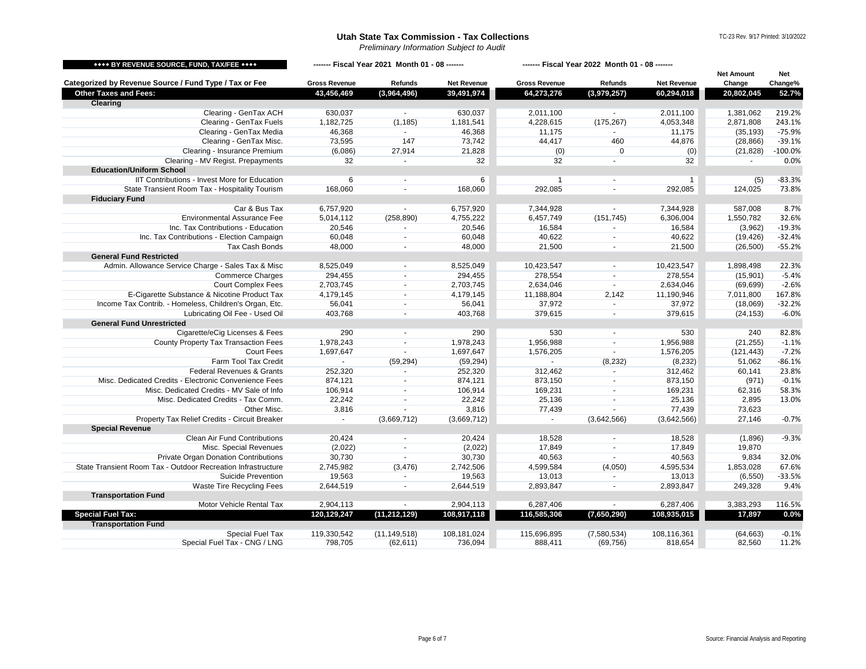<span id="page-5-1"></span><span id="page-5-0"></span>

| **** BY REVENUE SOURCE, FUND, TAX/FEE ****                   | ------- Fiscal Year 2021 Month 01 - 08 ------- |                |                    | ------- Fiscal Year 2022 Month 01 - 08 ------- |                |                    | <b>Net Amount</b> | Net       |
|--------------------------------------------------------------|------------------------------------------------|----------------|--------------------|------------------------------------------------|----------------|--------------------|-------------------|-----------|
| Categorized by Revenue Source / Fund Type / Tax or Fee       | <b>Gross Revenue</b>                           | Refunds        | <b>Net Revenue</b> | <b>Gross Revenue</b>                           | Refunds        | <b>Net Revenue</b> | Change            | Change%   |
| <b>Other Taxes and Fees:</b>                                 | 43,456,469                                     | (3,964,496)    | 39,491,974         | 64,273,276                                     | (3,979,257)    | 60,294,018         | 20,802,045        | 52.7%     |
| <b>Clearing</b>                                              |                                                |                |                    |                                                |                |                    |                   |           |
| Clearing - GenTax ACH                                        | 630,037                                        |                | 630,037            | 2,011,100                                      |                | 2,011,100          | 1,381,062         | 219.2%    |
| Clearing - GenTax Fuels                                      | 1,182,725                                      | (1, 185)       | 1,181,541          | 4,228,615                                      | (175, 267)     | 4,053,348          | 2,871,808         | 243.1%    |
| Clearing - GenTax Media                                      | 46,368                                         | $\mathbf{r}$   | 46,368             | 11,175                                         |                | 11,175             | (35, 193)         | $-75.9%$  |
| Clearing - GenTax Misc.                                      | 73,595                                         | 147            | 73,742             | 44,417                                         | 460            | 44,876             | (28, 866)         | $-39.1%$  |
| Clearing - Insurance Premium                                 | (6,086)                                        | 27,914         | 21,828             | (0)                                            | $\mathbf 0$    | (0)                | (21, 828)         | $-100.0%$ |
| Clearing - MV Regist. Prepayments                            | 32                                             |                | 32                 | 32                                             |                | 32                 |                   | 0.0%      |
| <b>Education/Uniform School</b>                              |                                                |                |                    |                                                |                |                    |                   |           |
| IIT Contributions - Invest More for Education                | 6                                              | $\blacksquare$ | 6                  | $\mathbf{1}$                                   | $\sim$         | $\mathbf{1}$       | (5)               | $-83.3%$  |
| State Transient Room Tax - Hospitality Tourism               | 168,060                                        | $\sim$         | 168,060            | 292,085                                        |                | 292,085            | 124,025           | 73.8%     |
| <b>Fiduciary Fund</b>                                        |                                                |                |                    |                                                |                |                    |                   |           |
| Car & Bus Tax                                                | 6,757,920                                      | $\blacksquare$ | 6,757,920          | 7,344,928                                      | $\sim$         | 7,344,928          | 587,008           | 8.7%      |
| <b>Environmental Assurance Fee</b>                           | 5,014,112                                      | (258, 890)     | 4,755,222          | 6,457,749                                      | (151, 745)     | 6,306,004          | 1,550,782         | 32.6%     |
| Inc. Tax Contributions - Education                           | 20,546                                         | $\sim$         | 20,546             | 16,584                                         | $\sim$         | 16,584             | (3,962)           | $-19.3%$  |
| Inc. Tax Contributions - Election Campaign                   | 60,048                                         | $\blacksquare$ | 60,048             | 40,622                                         | $\blacksquare$ | 40,622             | (19, 426)         | $-32.4%$  |
| Tax Cash Bonds                                               | 48,000                                         | $\sim$         | 48,000             | 21,500                                         |                | 21,500             | (26, 500)         | $-55.2%$  |
| <b>General Fund Restricted</b>                               |                                                |                |                    |                                                |                |                    |                   |           |
| Admin. Allowance Service Charge - Sales Tax & Misc           | 8,525,049                                      | $\sim$         | 8,525,049          | 10,423,547                                     |                | 10,423,547         | 1,898,498         | 22.3%     |
| <b>Commerce Charges</b>                                      | 294,455                                        | $\blacksquare$ | 294,455            | 278,554                                        | $\sim$         | 278,554            | (15, 901)         | $-5.4%$   |
| <b>Court Complex Fees</b>                                    | 2,703,745                                      | $\sim$         | 2,703,745          | 2,634,046                                      | $\mathcal{L}$  | 2,634,046          | (69, 699)         | $-2.6%$   |
| E-Cigarette Substance & Nicotine Product Tax                 | 4,179,145                                      | $\sim$         | 4,179,145          | 11,188,804                                     | 2,142          | 11,190,946         | 7,011,800         | 167.8%    |
| Income Tax Contrib. - Homeless, Children's Organ, Etc.       | 56,041                                         | $\sim$         | 56,041             | 37,972                                         | $\sim$         | 37,972             | (18,069)          | $-32.2%$  |
| Lubricating Oil Fee - Used Oil                               | 403,768                                        | $\sim$         | 403,768            | 379,615                                        | $\sim$         | 379,615            | (24, 153)         | $-6.0%$   |
| <b>General Fund Unrestricted</b>                             |                                                |                |                    |                                                |                |                    |                   |           |
| Cigarette/eCig Licenses & Fees                               | 290                                            | $\blacksquare$ | 290                | 530                                            | $\sim$         | 530                | 240               | 82.8%     |
| County Property Tax Transaction Fees                         | 1,978,243                                      | $\blacksquare$ | 1,978,243          | 1,956,988                                      | $\sim$         | 1,956,988          | (21, 255)         | $-1.1%$   |
| <b>Court Fees</b>                                            | 1,697,647                                      | $\blacksquare$ | 1,697,647          | 1,576,205                                      | $\blacksquare$ | 1,576,205          | (121, 443)        | $-7.2%$   |
| Farm Tool Tax Credit                                         | $\sim$                                         | (59, 294)      | (59, 294)          | $\mathbb{Z}^2$                                 | (8, 232)       | (8, 232)           | 51,062            | $-86.1%$  |
| Federal Revenues & Grants                                    | 252,320                                        | $\mathbf{r}$   | 252,320            | 312,462                                        | $\sim$         | 312,462            | 60,141            | 23.8%     |
| Misc. Dedicated Credits - Electronic Convenience Fees        | 874,121                                        | $\mathbf{r}$   | 874,121            | 873,150                                        | $\sim$         | 873,150            | (971)             | $-0.1%$   |
| Misc. Dedicated Credits - MV Sale of Info                    | 106,914                                        | $\blacksquare$ | 106,914            | 169,231                                        | $\sim$         | 169,231            | 62,316            | 58.3%     |
| Misc. Dedicated Credits - Tax Comm.                          | 22,242                                         | $\sim$         | 22,242             | 25,136                                         | $\sim$         | 25,136             | 2,895             | 13.0%     |
| Other Misc.                                                  | 3,816                                          |                | 3,816              | 77,439                                         |                | 77,439             | 73,623            |           |
| Property Tax Relief Credits - Circuit Breaker                | $\sim$                                         | (3,669,712)    | (3,669,712)        | $\sim$                                         | (3,642,566)    | (3,642,566)        | 27.146            | $-0.7%$   |
| <b>Special Revenue</b>                                       |                                                |                |                    |                                                |                |                    |                   |           |
| Clean Air Fund Contributions                                 | 20,424                                         | $\blacksquare$ | 20,424             | 18,528                                         |                | 18,528             | (1,896)           | $-9.3%$   |
| Misc. Special Revenues                                       | (2,022)                                        | $\blacksquare$ | (2,022)            | 17,849                                         | $\blacksquare$ | 17,849             | 19,870            |           |
| Private Organ Donation Contributions                         | 30,730                                         | $\sim$         | 30,730             | 40,563                                         | $\sim$         | 40,563             | 9,834             | 32.0%     |
| State Transient Room Tax - Outdoor Recreation Infrastructure | 2,745,982                                      | (3, 476)       | 2,742,506          | 4,599,584                                      | (4,050)        | 4,595,534          | 1,853,028         | 67.6%     |
| Suicide Prevention                                           | 19,563                                         | $\blacksquare$ | 19,563             | 13,013                                         |                | 13,013             | (6, 550)          | $-33.5%$  |
| Waste Tire Recycling Fees                                    | 2,644,519                                      | $\blacksquare$ | 2,644,519          | 2,893,847                                      | $\sim$         | 2,893,847          | 249,328           | 9.4%      |
| <b>Transportation Fund</b>                                   |                                                |                |                    |                                                |                |                    |                   |           |
| Motor Vehicle Rental Tax                                     | 2,904,113                                      | $\sim$         | 2,904,113          | 6,287,406                                      |                | 6,287,406          | 3,383,293         | 116.5%    |
| <b>Special Fuel Tax:</b>                                     | 120,129,247                                    | (11, 212, 129) | 108,917,118        | 116,585,306                                    | (7,650,290)    | 108,935,015        | 17,897            | 0.0%      |
| <b>Transportation Fund</b>                                   |                                                |                |                    |                                                |                |                    |                   |           |
| Special Fuel Tax                                             | 119.330.542                                    | (11, 149, 518) | 108.181.024        | 115,696,895                                    | (7,580,534)    | 108.116.361        | (64, 663)         | $-0.1%$   |
| Special Fuel Tax - CNG / LNG                                 | 798,705                                        | (62, 611)      | 736,094            | 888,411                                        | (69, 756)      | 818,654            | 82,560            | 11.2%     |